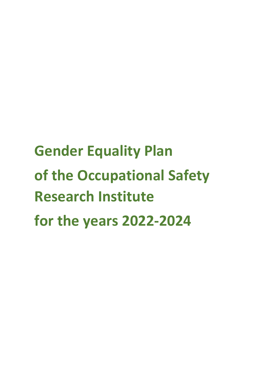# **Gender Equality Plan of the Occupational Safety Research Institute for the years 2022-2024**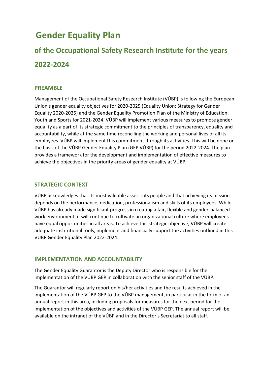## **Gender Equality Plan**

# **of the Occupational Safety Research Institute for the years 2022-2024**

#### **PREAMBLE**

Management of the Occupational Safety Research Institute (VÚBP) is following the European Union's gender equality objectives for 2020-2025 (Equality Union: Strategy for Gender Equality 2020-2025) and the Gender Equality Promotion Plan of the Ministry of Education, Youth and Sports for 2021-2024. VÚBP will implement various measures to promote gender equality as a part of its strategic commitment to the principles of transparency, equality and accountability, while at the same time reconciling the working and personal lives of all its employees. VÚBP will implement this commitment through its activities. This will be done on the basis of the VÚBP Gender Equality Plan (GEP VÚBP) for the period 2022-2024. The plan provides a framework for the development and implementation of effective measures to achieve the objectives in the priority areas of gender equality at VÚBP.

#### **STRATEGIC CONTEXT**

VÚBP acknowledges that its most valuable asset is its people and that achieving its mission depends on the performance, dedication, professionalism and skills of its employees. While VÚBP has already made significant progress in creating a fair, flexible and gender-balanced work environment, it will continue to cultivate an organizational culture where employees have equal opportunities in all areas. To achieve this strategic objective, VÚBP will create adequate institutional tools, implement and financially support the activities outlined in this VÚBP Gender Equality Plan 2022-2024.

#### **IMPLEMENTATION AND ACCOUNTABILITY**

The Gender Equality Guarantor is the Deputy Director who is responsible for the implementation of the VÚBP GEP in collaboration with the senior staff of the VÚBP.

The Guarantor will regularly report on his/her activities and the results achieved in the implementation of the VÚBP GEP to the VÚBP management, in particular in the form of an annual report in this area, including proposals for measures for the next period for the implementation of the objectives and activities of the VÚBP GEP. The annual report will be available on the intranet of the VÚBP and in the Director's Secretariat to all staff.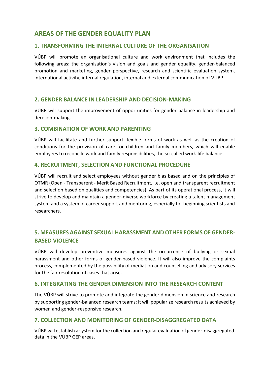#### **AREAS OF THE GENDER EQUALITY PLAN**

#### **1. TRANSFORMING THE INTERNAL CULTURE OF THE ORGANISATION**

VÚBP will promote an organisational culture and work environment that includes the following areas: the organisation's vision and goals and gender equality, gender-balanced promotion and marketing, gender perspective, research and scientific evaluation system, international activity, internal regulation, internal and external communication of VÚBP.

#### **2. GENDER BALANCE IN LEADERSHIP AND DECISION-MAKING**

VÚBP will support the improvement of opportunities for gender balance in leadership and decision-making.

#### **3. COMBINATION OF WORK AND PARENTING**

VÚBP will facilitate and further support flexible forms of work as well as the creation of conditions for the provision of care for children and family members, which will enable employees to reconcile work and family responsibilities, the so-called work-life balance.

#### **4. RECRUITMENT, SELECTION AND FUNCTIONAL PROCEDURE**

VÚBP will recruit and select employees without gender bias based and on the principles of OTMR (Open - Transparent - Merit Based Recruitment, i.e. open and transparent recruitment and selection based on qualities and competencies). As part of its operational process, it will strive to develop and maintain a gender-diverse workforce by creating a talent management system and a system of career support and mentoring, especially for beginning scientists and researchers.

#### **5. MEASURES AGAINST SEXUAL HARASSMENT AND OTHER FORMS OF GENDER-BASED VIOLENCE**

VÚBP will develop preventive measures against the occurrence of bullying or sexual harassment and other forms of gender-based violence. It will also improve the complaints process, complemented by the possibility of mediation and counselling and advisory services for the fair resolution of cases that arise.

#### **6. INTEGRATING THE GENDER DIMENSION INTO THE RESEARCH CONTENT**

The VÚBP will strive to promote and integrate the gender dimension in science and research by supporting gender-balanced research teams; it will popularize research results achieved by women and gender-responsive research.

#### **7. COLLECTION AND MONITORING OF GENDER-DISAGGREGATED DATA**

VÚBP will establish a system for the collection and regular evaluation of gender-disaggregated data in the VÚBP GEP areas.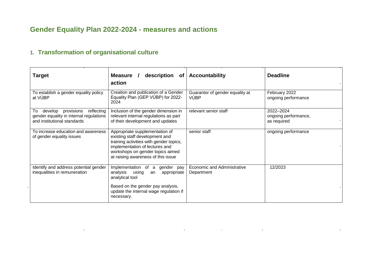## **Gender Equality Plan 2022-2024 - measures and actions**

## **1. Transformation of organisational culture**

and the contract of the

| <b>Target</b>                                                                                                       | description of<br>Measure /<br>action                                                                                                                                                                                   | <b>Accountability</b>                            | <b>Deadline</b>                                  |
|---------------------------------------------------------------------------------------------------------------------|-------------------------------------------------------------------------------------------------------------------------------------------------------------------------------------------------------------------------|--------------------------------------------------|--------------------------------------------------|
| To establish a gender equality policy<br>at VÚBP                                                                    | Creation and publication of a Gender<br>Equality Plan (GEP VÚBP) for 2022-<br>2024                                                                                                                                      | Guarantor of gender equality at<br><b>VÚBP</b>   | February 2022<br>ongoing performance             |
| develop<br>provisions<br>reflecting<br>To<br>gender equality in internal regulations<br>and institutional standards | Inclusion of the gender dimension in<br>relevant internal regulations as part<br>of their development and updates                                                                                                       | relevant senior staff                            | 2022-2024<br>ongoing performance,<br>as required |
| To increase education and awareness<br>of gender equality issues                                                    | Appropriate supplementation of<br>existing staff development and<br>training activities with gender topics,<br>implementation of lectures and<br>workshops on gender topics aimed<br>at raising awareness of this issue | senior staff                                     | ongoing performance                              |
| Identify and address potential gender<br>inequalities in remuneration                                               | Implementation<br>of<br>gender pay<br>a<br>analysis<br>using<br>an<br>appropriate<br>analytical tool                                                                                                                    | <b>Economic and Administrative</b><br>Department | 12/2023                                          |
|                                                                                                                     | Based on the gender pay analysis,<br>update the internal wage regulation if<br>necessary.                                                                                                                               |                                                  |                                                  |

and the state of the state of the state of the state of the state of the state of the state of the

 $\sim$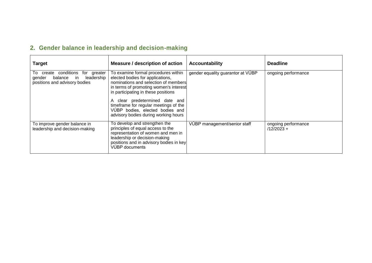## **2. Gender balance in leadership and decision-making**

| <b>Target</b>                                                                                                    | Measure / description of action                                                                                                                                                                                                                                                                                                                        | <b>Accountability</b>             | <b>Deadline</b>                     |
|------------------------------------------------------------------------------------------------------------------|--------------------------------------------------------------------------------------------------------------------------------------------------------------------------------------------------------------------------------------------------------------------------------------------------------------------------------------------------------|-----------------------------------|-------------------------------------|
| create conditions<br>for<br>greater<br>To<br>leadership<br>balance in<br>gender<br>positions and advisory bodies | To examine formal procedures within<br>elected bodies for applications,<br>nominations and selection of members<br>in terms of promoting women's interest<br>in participating in these positions<br>A clear predetermined date and<br>timeframe for regular meetings of the<br>VÚBP bodies, elected bodies and<br>advisory bodies during working hours | gender equality guarantor at VUBP | ongoing performance                 |
| To improve gender balance in<br>leadership and decision-making                                                   | To develop and strengthen the<br>principles of equal access to the<br>representation of women and men in<br>leadership or decision-making<br>positions and in advisory bodies in key<br>VÚBP documents                                                                                                                                                 | VÚBP management/senior staff      | ongoing performance<br>$/12/2023 +$ |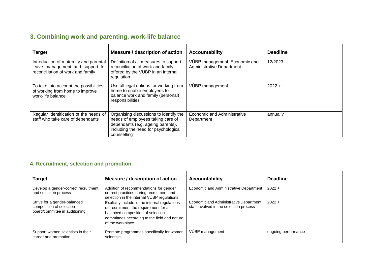## **3. Combining work and parenting, work-life balance**

| <b>Target</b>                                                                                                   | Measure / description of action                                                                                                                                         | <b>Accountability</b>                                             | <b>Deadline</b> |
|-----------------------------------------------------------------------------------------------------------------|-------------------------------------------------------------------------------------------------------------------------------------------------------------------------|-------------------------------------------------------------------|-----------------|
| Introduction of maternity and parental<br>leave management and support for<br>reconciliation of work and family | Definition of all measures to support<br>reconciliation of work and family<br>offered by the VUBP in an internal<br>regulation                                          | VÚBP management, Economic and<br><b>Administrative Department</b> | 12/2023         |
| To take into account the possibilities<br>of working from home to improve<br>work-life balance                  | Use all legal options for working from<br>home to enable employees to<br>balance work and family (personal)<br>responsibilities                                         | VÚBP management                                                   | $2022 +$        |
| Regular identification of the needs of<br>staff who take care of dependants                                     | Organising discussions to identify the<br>needs of employees taking care of<br>dependants (e.g. ageing parents),<br>including the need for psychological<br>counselling | <b>Economic and Administrative</b><br>Department                  | annually        |

#### **4. Recruitment, selection and promotion**

| Target                                                                                    | Measure / description of action                                                                                                                                                                 | <b>Accountability</b>                                                              | <b>Deadline</b>     |
|-------------------------------------------------------------------------------------------|-------------------------------------------------------------------------------------------------------------------------------------------------------------------------------------------------|------------------------------------------------------------------------------------|---------------------|
| Develop a gender-correct recruitment<br>and selection process                             | Addition of recommendations for gender<br>correct practices during recruitment and<br>selection in the internal VUBP regulations                                                                | Economic and Administrative Department                                             | $2022 +$            |
| Strive for a gender-balanced<br>composition of selection<br>board/commitee in auditioning | Explicitly include in the internal regulations<br>on recruitment the requirement for a<br>balanced composition of selection<br>committees according to the field and nature<br>of the workplace | Economic and Administrative Department,<br>staff involved in the selection process | $2022 +$            |
| Support women scientists in their<br>career and promotion                                 | Promote programmes specifically for women<br>scientists                                                                                                                                         | VÚBP management                                                                    | ongoing performance |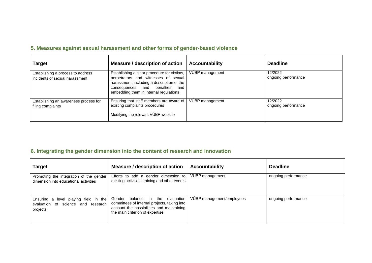### **5. Measures against sexual harassment and other forms of gender-based violence**

| <b>Target</b>                                                       | Measure / description of action                                                                                                                                                                                  | <b>Accountability</b> | <b>Deadline</b>                |
|---------------------------------------------------------------------|------------------------------------------------------------------------------------------------------------------------------------------------------------------------------------------------------------------|-----------------------|--------------------------------|
| Establishing a process to address<br>incidents of sexual harassment | Establishing a clear procedure for victims,<br>perpetrators and witnesses of sexual<br>harassment, including a description of the<br>consequences and penalties<br>and<br>embedding them in internal regulations | VÚBP management       | 12/2022<br>ongoing performance |
| Establishing an awareness process for<br>filing complaints          | Ensuring that staff members are aware of<br>existing complaints procedures<br>Modifying the relevant VÚBP website                                                                                                | VÚBP management       | 12/2022<br>ongoing performance |

## **6. Integrating the gender dimension into the content of research and innovation**

| <b>Target</b>                                                                                 | Measure / description of action                                                                                                                                        | <b>Accountability</b>     | <b>Deadline</b>     |
|-----------------------------------------------------------------------------------------------|------------------------------------------------------------------------------------------------------------------------------------------------------------------------|---------------------------|---------------------|
| Promoting the integration of the gender<br>dimension into educational activities              | Efforts to add a gender dimension to<br>existing activities, training and other events                                                                                 | VÚBP management           | ongoing performance |
| level playing field in the<br>Ensuring a<br>evaluation of<br>science and research<br>projects | Gender<br>balance in the<br>evaluation<br>committees of internal projects, taking into<br>account the possibilities and maintaining<br>the main criterion of expertise | VUBP management/employees | ongoing performance |